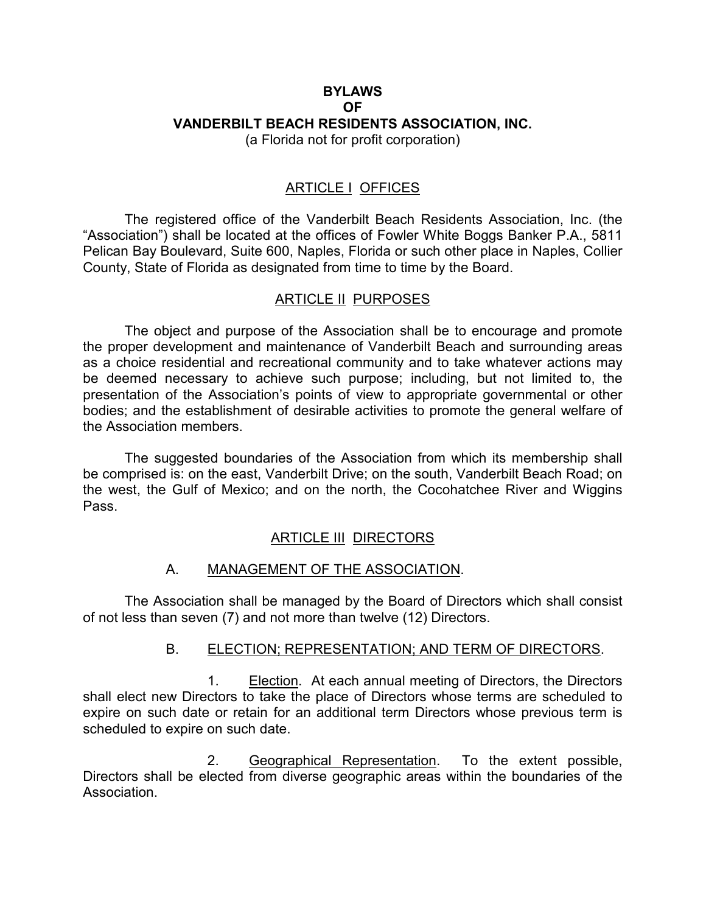# **BYLAWS OF VANDERBILT BEACH RESIDENTS ASSOCIATION, INC.**

(a Florida not for profit corporation)

# ARTICLE I OFFICES

The registered office of the Vanderbilt Beach Residents Association, Inc. (the "Association") shall be located at the offices of Fowler White Boggs Banker P.A., 5811 Pelican Bay Boulevard, Suite 600, Naples, Florida or such other place in Naples, Collier County, State of Florida as designated from time to time by the Board.

# ARTICLE II PURPOSES

The object and purpose of the Association shall be to encourage and promote the proper development and maintenance of Vanderbilt Beach and surrounding areas as a choice residential and recreational community and to take whatever actions may be deemed necessary to achieve such purpose; including, but not limited to, the presentation of the Association's points of view to appropriate governmental or other bodies; and the establishment of desirable activities to promote the general welfare of the Association members.

The suggested boundaries of the Association from which its membership shall be comprised is: on the east, Vanderbilt Drive; on the south, Vanderbilt Beach Road; on the west, the Gulf of Mexico; and on the north, the Cocohatchee River and Wiggins Pass.

# ARTICLE III DIRECTORS

# A. MANAGEMENT OF THE ASSOCIATION.

The Association shall be managed by the Board of Directors which shall consist of not less than seven (7) and not more than twelve (12) Directors.

### B. ELECTION; REPRESENTATION; AND TERM OF DIRECTORS.

1. Election. At each annual meeting of Directors, the Directors shall elect new Directors to take the place of Directors whose terms are scheduled to expire on such date or retain for an additional term Directors whose previous term is scheduled to expire on such date.

2. Geographical Representation. To the extent possible, Directors shall be elected from diverse geographic areas within the boundaries of the Association.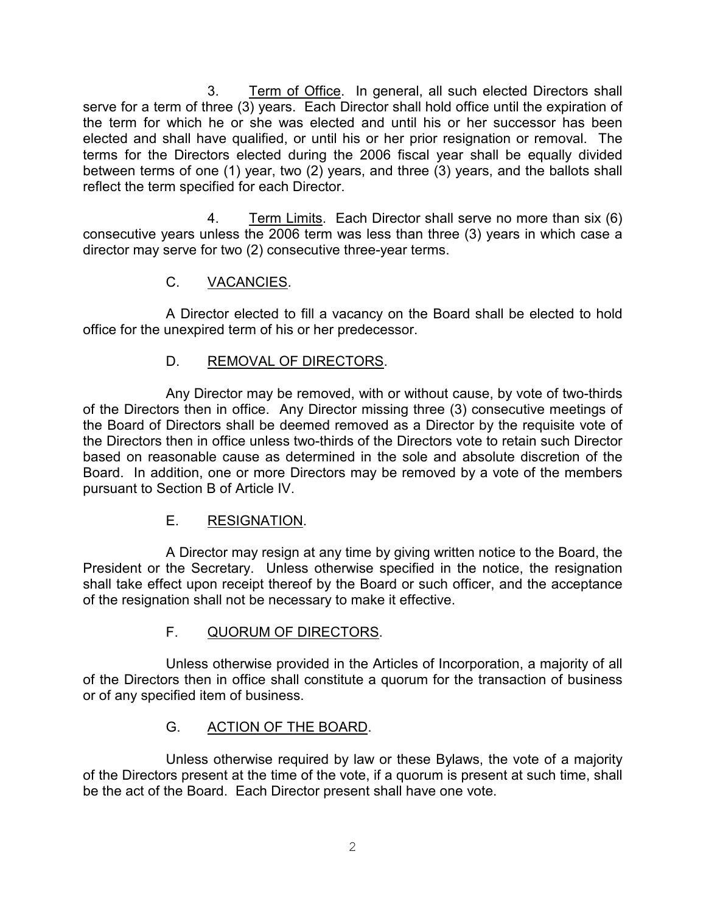3. Term of Office. In general, all such elected Directors shall serve for a term of three (3) years. Each Director shall hold office until the expiration of the term for which he or she was elected and until his or her successor has been elected and shall have qualified, or until his or her prior resignation or removal. The terms for the Directors elected during the 2006 fiscal year shall be equally divided between terms of one (1) year, two (2) years, and three (3) years, and the ballots shall reflect the term specified for each Director.

4. Term Limits. Each Director shall serve no more than six (6) consecutive years unless the 2006 term was less than three (3) years in which case a director may serve for two (2) consecutive three-year terms.

# C. VACANCIES.

A Director elected to fill a vacancy on the Board shall be elected to hold office for the unexpired term of his or her predecessor.

# D. REMOVAL OF DIRECTORS.

Any Director may be removed, with or without cause, by vote of two-thirds of the Directors then in office. Any Director missing three (3) consecutive meetings of the Board of Directors shall be deemed removed as a Director by the requisite vote of the Directors then in office unless two-thirds of the Directors vote to retain such Director based on reasonable cause as determined in the sole and absolute discretion of the Board. In addition, one or more Directors may be removed by a vote of the members pursuant to Section B of Article IV.

# E. RESIGNATION.

A Director may resign at any time by giving written notice to the Board, the President or the Secretary. Unless otherwise specified in the notice, the resignation shall take effect upon receipt thereof by the Board or such officer, and the acceptance of the resignation shall not be necessary to make it effective.

# F. QUORUM OF DIRECTORS.

Unless otherwise provided in the Articles of Incorporation, a majority of all of the Directors then in office shall constitute a quorum for the transaction of business or of any specified item of business.

# G. ACTION OF THE BOARD.

Unless otherwise required by law or these Bylaws, the vote of a majority of the Directors present at the time of the vote, if a quorum is present at such time, shall be the act of the Board. Each Director present shall have one vote.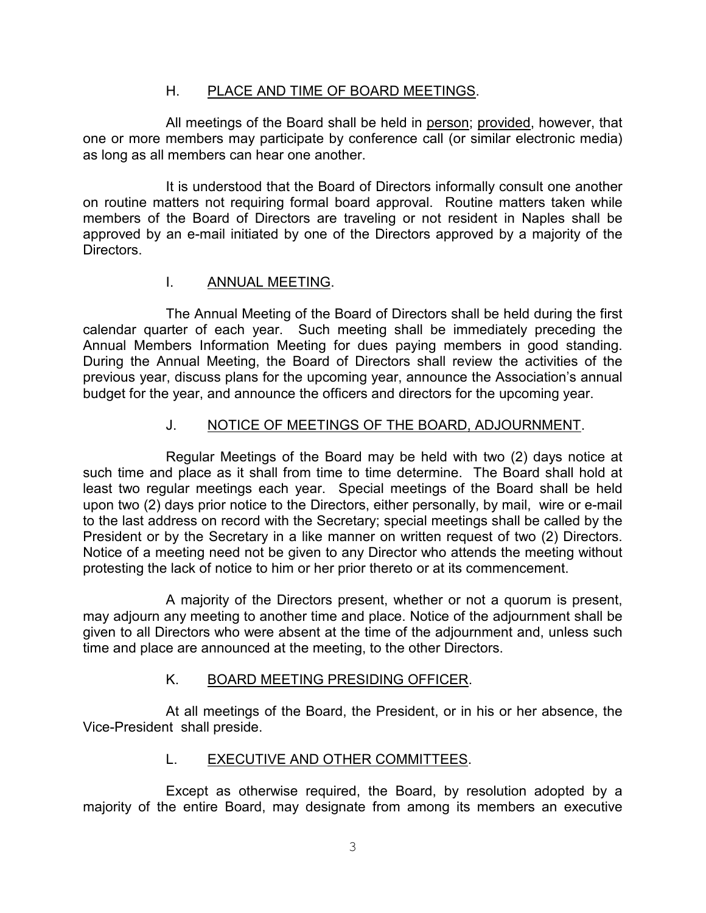## H. PLACE AND TIME OF BOARD MEETINGS.

All meetings of the Board shall be held in person; provided, however, that one or more members may participate by conference call (or similar electronic media) as long as all members can hear one another.

It is understood that the Board of Directors informally consult one another on routine matters not requiring formal board approval. Routine matters taken while members of the Board of Directors are traveling or not resident in Naples shall be approved by an e-mail initiated by one of the Directors approved by a majority of the **Directors** 

### I. ANNUAL MEETING.

The Annual Meeting of the Board of Directors shall be held during the first calendar quarter of each year. Such meeting shall be immediately preceding the Annual Members Information Meeting for dues paying members in good standing. During the Annual Meeting, the Board of Directors shall review the activities of the previous year, discuss plans for the upcoming year, announce the Association's annual budget for the year, and announce the officers and directors for the upcoming year.

# J. NOTICE OF MEETINGS OF THE BOARD, ADJOURNMENT.

Regular Meetings of the Board may be held with two (2) days notice at such time and place as it shall from time to time determine. The Board shall hold at least two regular meetings each year. Special meetings of the Board shall be held upon two (2) days prior notice to the Directors, either personally, by mail, wire or e-mail to the last address on record with the Secretary; special meetings shall be called by the President or by the Secretary in a like manner on written request of two (2) Directors. Notice of a meeting need not be given to any Director who attends the meeting without protesting the lack of notice to him or her prior thereto or at its commencement.

A majority of the Directors present, whether or not a quorum is present, may adjourn any meeting to another time and place. Notice of the adjournment shall be given to all Directors who were absent at the time of the adjournment and, unless such time and place are announced at the meeting, to the other Directors.

# K. BOARD MEETING PRESIDING OFFICER.

At all meetings of the Board, the President, or in his or her absence, the Vice-President shall preside.

# L. EXECUTIVE AND OTHER COMMITTEES.

Except as otherwise required, the Board, by resolution adopted by a majority of the entire Board, may designate from among its members an executive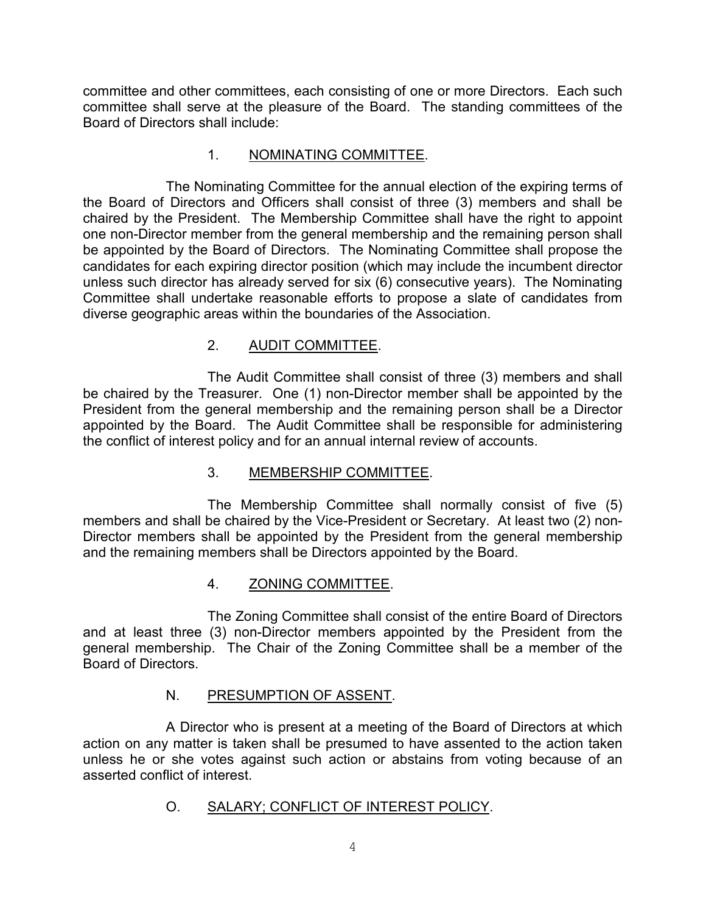committee and other committees, each consisting of one or more Directors. Each such committee shall serve at the pleasure of the Board. The standing committees of the Board of Directors shall include:

# 1. NOMINATING COMMITTEE.

The Nominating Committee for the annual election of the expiring terms of the Board of Directors and Officers shall consist of three (3) members and shall be chaired by the President. The Membership Committee shall have the right to appoint one non-Director member from the general membership and the remaining person shall be appointed by the Board of Directors. The Nominating Committee shall propose the candidates for each expiring director position (which may include the incumbent director unless such director has already served for six (6) consecutive years). The Nominating Committee shall undertake reasonable efforts to propose a slate of candidates from diverse geographic areas within the boundaries of the Association.

# 2. AUDIT COMMITTEE.

The Audit Committee shall consist of three (3) members and shall be chaired by the Treasurer. One (1) non-Director member shall be appointed by the President from the general membership and the remaining person shall be a Director appointed by the Board. The Audit Committee shall be responsible for administering the conflict of interest policy and for an annual internal review of accounts.

### 3. MEMBERSHIP COMMITTEE.

The Membership Committee shall normally consist of five (5) members and shall be chaired by the Vice-President or Secretary. At least two (2) non-Director members shall be appointed by the President from the general membership and the remaining members shall be Directors appointed by the Board.

# 4. ZONING COMMITTEE.

The Zoning Committee shall consist of the entire Board of Directors and at least three (3) non-Director members appointed by the President from the general membership. The Chair of the Zoning Committee shall be a member of the Board of Directors.

# N. PRESUMPTION OF ASSENT.

A Director who is present at a meeting of the Board of Directors at which action on any matter is taken shall be presumed to have assented to the action taken unless he or she votes against such action or abstains from voting because of an asserted conflict of interest.

# O. SALARY; CONFLICT OF INTEREST POLICY.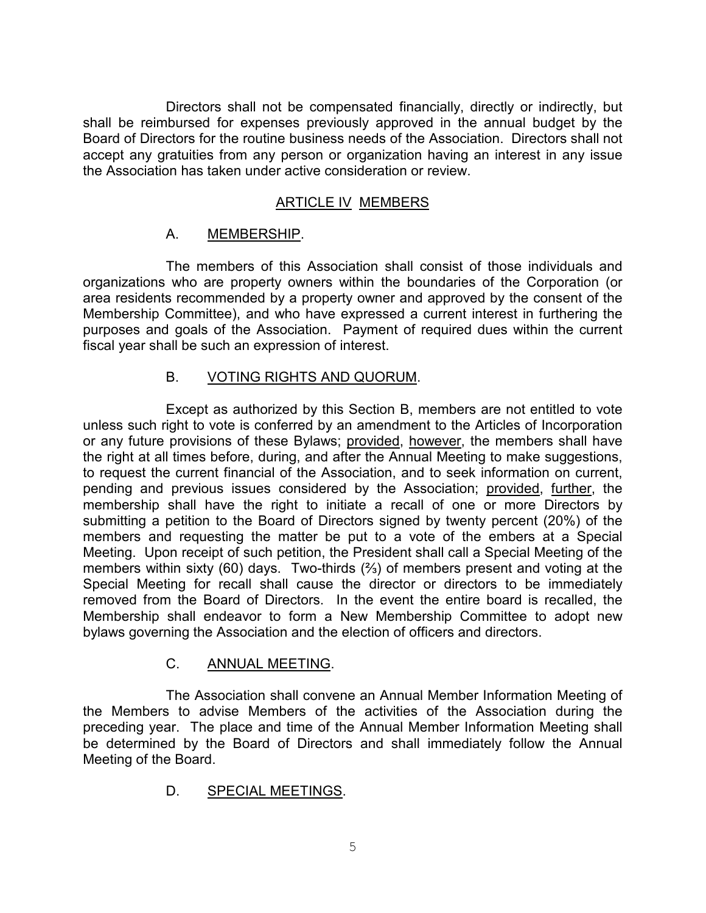Directors shall not be compensated financially, directly or indirectly, but shall be reimbursed for expenses previously approved in the annual budget by the Board of Directors for the routine business needs of the Association. Directors shall not accept any gratuities from any person or organization having an interest in any issue the Association has taken under active consideration or review.

## ARTICLE IV MEMBERS

# A. MEMBERSHIP.

The members of this Association shall consist of those individuals and organizations who are property owners within the boundaries of the Corporation (or area residents recommended by a property owner and approved by the consent of the Membership Committee), and who have expressed a current interest in furthering the purposes and goals of the Association. Payment of required dues within the current fiscal year shall be such an expression of interest.

## B. VOTING RIGHTS AND QUORUM.

Except as authorized by this Section B, members are not entitled to vote unless such right to vote is conferred by an amendment to the Articles of Incorporation or any future provisions of these Bylaws; provided, however, the members shall have the right at all times before, during, and after the Annual Meeting to make suggestions, to request the current financial of the Association, and to seek information on current, pending and previous issues considered by the Association; provided, further, the membership shall have the right to initiate a recall of one or more Directors by submitting a petition to the Board of Directors signed by twenty percent (20%) of the members and requesting the matter be put to a vote of the embers at a Special Meeting. Upon receipt of such petition, the President shall call a Special Meeting of the members within sixty (60) days. Two-thirds  $(3)$  of members present and voting at the Special Meeting for recall shall cause the director or directors to be immediately removed from the Board of Directors. In the event the entire board is recalled, the Membership shall endeavor to form a New Membership Committee to adopt new bylaws governing the Association and the election of officers and directors.

# C. ANNUAL MEETING.

The Association shall convene an Annual Member Information Meeting of the Members to advise Members of the activities of the Association during the preceding year. The place and time of the Annual Member Information Meeting shall be determined by the Board of Directors and shall immediately follow the Annual Meeting of the Board.

# D. SPECIAL MEETINGS.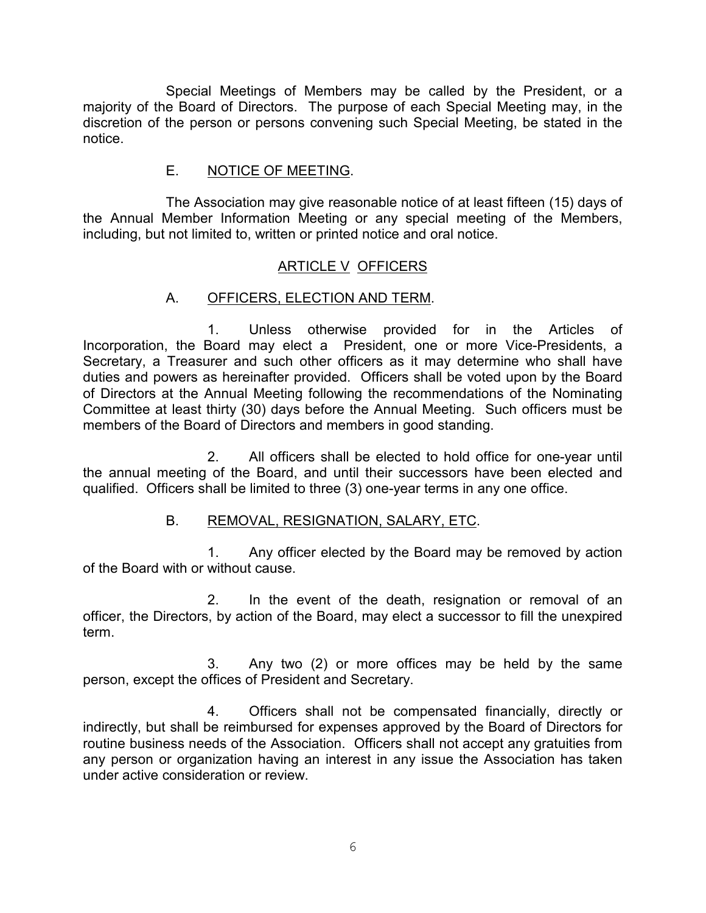Special Meetings of Members may be called by the President, or a majority of the Board of Directors. The purpose of each Special Meeting may, in the discretion of the person or persons convening such Special Meeting, be stated in the notice.

# E. NOTICE OF MEETING.

The Association may give reasonable notice of at least fifteen (15) days of the Annual Member Information Meeting or any special meeting of the Members, including, but not limited to, written or printed notice and oral notice.

## ARTICLE V OFFICERS

## A. OFFICERS, ELECTION AND TERM.

1. Unless otherwise provided for in the Articles of Incorporation, the Board may elect a President, one or more Vice-Presidents, a Secretary, a Treasurer and such other officers as it may determine who shall have duties and powers as hereinafter provided. Officers shall be voted upon by the Board of Directors at the Annual Meeting following the recommendations of the Nominating Committee at least thirty (30) days before the Annual Meeting. Such officers must be members of the Board of Directors and members in good standing.

2. All officers shall be elected to hold office for one-year until the annual meeting of the Board, and until their successors have been elected and qualified. Officers shall be limited to three (3) one-year terms in any one office.

### B. REMOVAL, RESIGNATION, SALARY, ETC.

1. Any officer elected by the Board may be removed by action of the Board with or without cause.

2. In the event of the death, resignation or removal of an officer, the Directors, by action of the Board, may elect a successor to fill the unexpired term.

3. Any two (2) or more offices may be held by the same person, except the offices of President and Secretary.

4. Officers shall not be compensated financially, directly or indirectly, but shall be reimbursed for expenses approved by the Board of Directors for routine business needs of the Association. Officers shall not accept any gratuities from any person or organization having an interest in any issue the Association has taken under active consideration or review.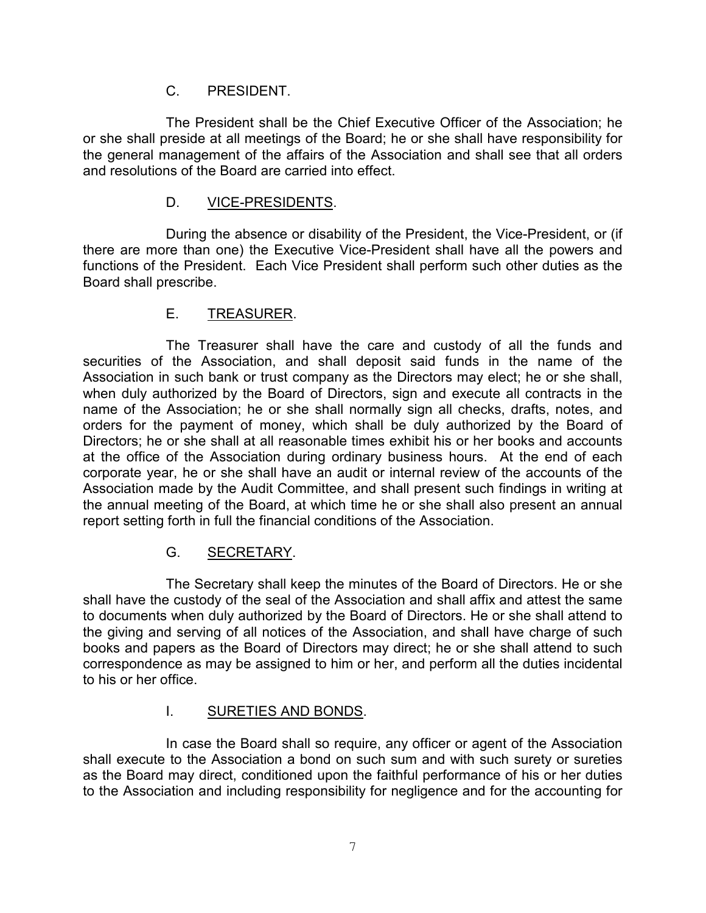C. PRESIDENT.

The President shall be the Chief Executive Officer of the Association; he or she shall preside at all meetings of the Board; he or she shall have responsibility for the general management of the affairs of the Association and shall see that all orders and resolutions of the Board are carried into effect.

# D. VICE-PRESIDENTS.

During the absence or disability of the President, the Vice-President, or (if there are more than one) the Executive Vice-President shall have all the powers and functions of the President. Each Vice President shall perform such other duties as the Board shall prescribe.

# E. TREASURER.

The Treasurer shall have the care and custody of all the funds and securities of the Association, and shall deposit said funds in the name of the Association in such bank or trust company as the Directors may elect; he or she shall, when duly authorized by the Board of Directors, sign and execute all contracts in the name of the Association; he or she shall normally sign all checks, drafts, notes, and orders for the payment of money, which shall be duly authorized by the Board of Directors; he or she shall at all reasonable times exhibit his or her books and accounts at the office of the Association during ordinary business hours. At the end of each corporate year, he or she shall have an audit or internal review of the accounts of the Association made by the Audit Committee, and shall present such findings in writing at the annual meeting of the Board, at which time he or she shall also present an annual report setting forth in full the financial conditions of the Association.

# G. SECRETARY.

The Secretary shall keep the minutes of the Board of Directors. He or she shall have the custody of the seal of the Association and shall affix and attest the same to documents when duly authorized by the Board of Directors. He or she shall attend to the giving and serving of all notices of the Association, and shall have charge of such books and papers as the Board of Directors may direct; he or she shall attend to such correspondence as may be assigned to him or her, and perform all the duties incidental to his or her office.

# I. SURETIES AND BONDS.

In case the Board shall so require, any officer or agent of the Association shall execute to the Association a bond on such sum and with such surety or sureties as the Board may direct, conditioned upon the faithful performance of his or her duties to the Association and including responsibility for negligence and for the accounting for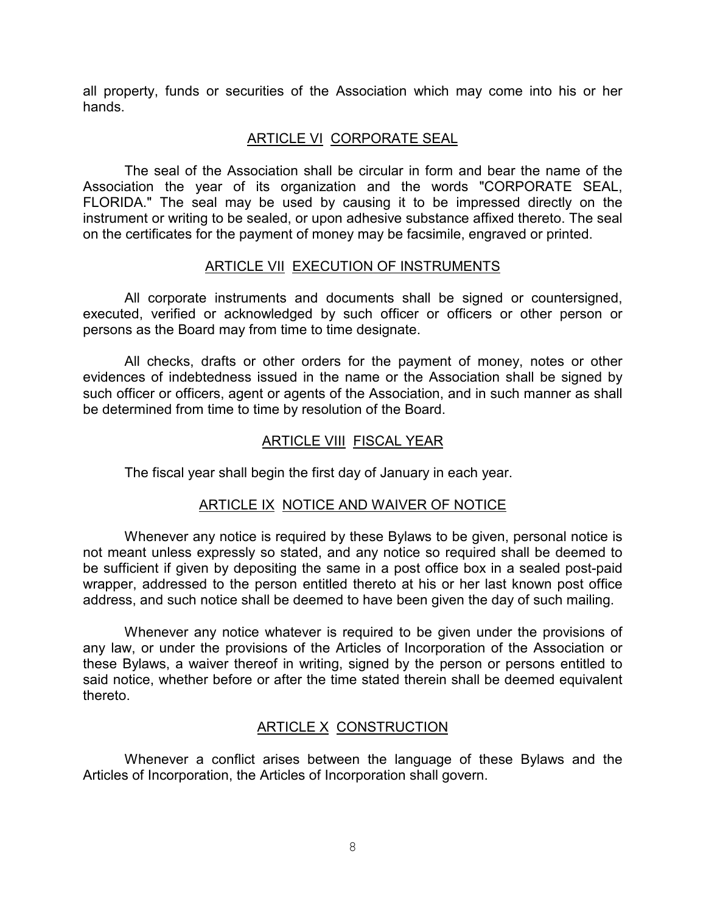all property, funds or securities of the Association which may come into his or her hands.

## ARTICLE VI CORPORATE SEAL

The seal of the Association shall be circular in form and bear the name of the Association the year of its organization and the words "CORPORATE SEAL, FLORIDA." The seal may be used by causing it to be impressed directly on the instrument or writing to be sealed, or upon adhesive substance affixed thereto. The seal on the certificates for the payment of money may be facsimile, engraved or printed.

#### ARTICLE VII EXECUTION OF INSTRUMENTS

All corporate instruments and documents shall be signed or countersigned, executed, verified or acknowledged by such officer or officers or other person or persons as the Board may from time to time designate.

All checks, drafts or other orders for the payment of money, notes or other evidences of indebtedness issued in the name or the Association shall be signed by such officer or officers, agent or agents of the Association, and in such manner as shall be determined from time to time by resolution of the Board.

## ARTICLE VIII FISCAL YEAR

The fiscal year shall begin the first day of January in each year.

### ARTICLE IX NOTICE AND WAIVER OF NOTICE

Whenever any notice is required by these Bylaws to be given, personal notice is not meant unless expressly so stated, and any notice so required shall be deemed to be sufficient if given by depositing the same in a post office box in a sealed post-paid wrapper, addressed to the person entitled thereto at his or her last known post office address, and such notice shall be deemed to have been given the day of such mailing.

Whenever any notice whatever is required to be given under the provisions of any law, or under the provisions of the Articles of Incorporation of the Association or these Bylaws, a waiver thereof in writing, signed by the person or persons entitled to said notice, whether before or after the time stated therein shall be deemed equivalent thereto.

### ARTICLE X CONSTRUCTION

Whenever a conflict arises between the language of these Bylaws and the Articles of Incorporation, the Articles of Incorporation shall govern.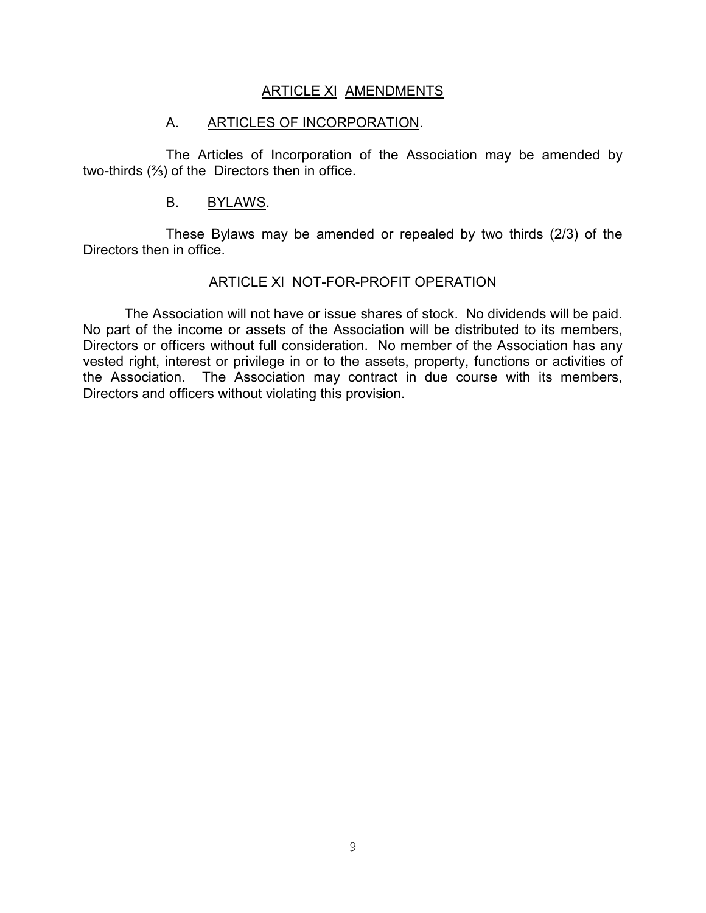### ARTICLE XI AMENDMENTS

## A. ARTICLES OF INCORPORATION.

The Articles of Incorporation of the Association may be amended by two-thirds  $(\frac{2}{3})$  of the Directors then in office.

### B. BYLAWS.

These Bylaws may be amended or repealed by two thirds (2/3) of the Directors then in office.

### ARTICLE XI NOT-FOR-PROFIT OPERATION

The Association will not have or issue shares of stock. No dividends will be paid. No part of the income or assets of the Association will be distributed to its members, Directors or officers without full consideration. No member of the Association has any vested right, interest or privilege in or to the assets, property, functions or activities of the Association. The Association may contract in due course with its members, Directors and officers without violating this provision.